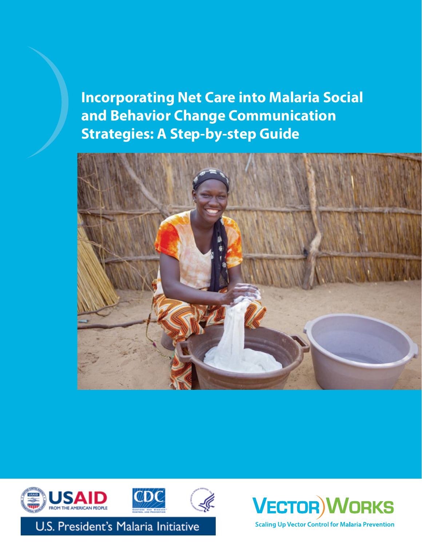**Incorporating Net Care into Malaria Social and Behavior Change Communication Strategies: A Step-by-step Guide**





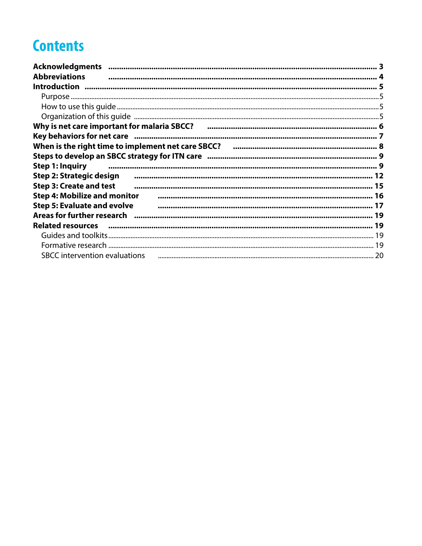# **Contents**

| <b>Acknowledgments</b>                                                                      |    |
|---------------------------------------------------------------------------------------------|----|
| <b>Abbreviations</b>                                                                        |    |
|                                                                                             |    |
|                                                                                             |    |
|                                                                                             |    |
|                                                                                             |    |
|                                                                                             |    |
| Key behaviors for net care minimum in the continuum continuum continuum continuum control 7 |    |
|                                                                                             |    |
|                                                                                             |    |
| <b>Step 1: Inquiry</b>                                                                      |    |
| Step 2: Strategic design                                                                    |    |
| <b>Step 3: Create and test</b>                                                              |    |
| <b>Step 4: Mobilize and monitor</b>                                                         |    |
| <b>Step 5: Evaluate and evolve</b>                                                          |    |
|                                                                                             |    |
|                                                                                             |    |
|                                                                                             |    |
|                                                                                             |    |
| <b>SBCC</b> intervention evaluations                                                        | 20 |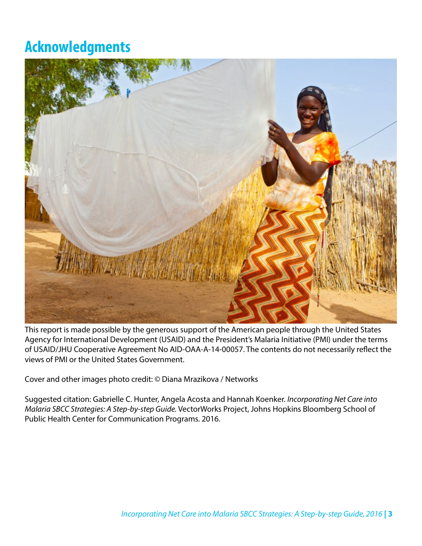## <span id="page-2-0"></span>**Acknowledgments**



This report is made possible by the generous support of the American people through the United States Agency for International Development (USAID) and the President's Malaria Initiative (PMI) under the terms of USAID/JHU Cooperative Agreement No AID-OAA-A-14-00057. The contents do not necessarily reflect the views of PMI or the United States Government.

Cover and other images photo credit: © Diana Mrazikova / Networks

Suggested citation: Gabrielle C. Hunter, Angela Acosta and Hannah Koenker. *Incorporating Net Care into Malaria SBCC Strategies: A Step-by-step Guide.* VectorWorks Project, Johns Hopkins Bloomberg School of Public Health Center for Communication Programs. 2016.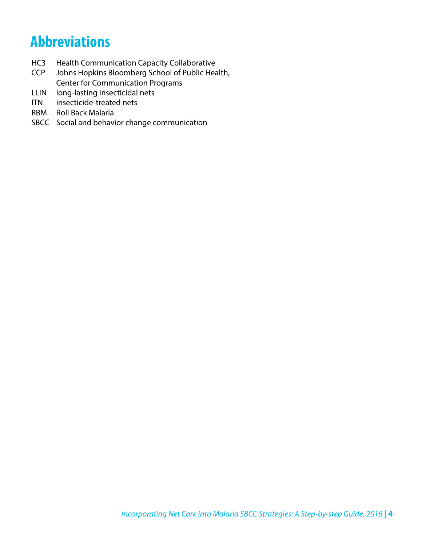## <span id="page-3-0"></span>**Abbreviations**

- HC3 Health Communication Capacity Collaborative<br>CCP Johns Hopkins Bloomberg School of Public Hea
- Johns Hopkins Bloomberg School of Public Health, Center for Communication Programs
- LLIN long-lasting insecticidal nets
- ITN insecticide-treated nets
- RBM Roll Back Malaria
- SBCC Social and behavior change communication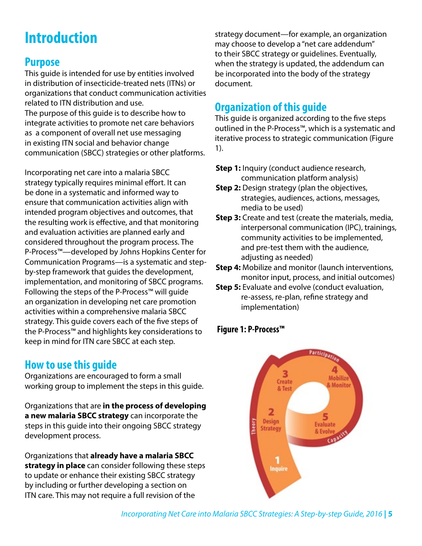# <span id="page-4-0"></span>**Introduction**

### **Purpose**

This guide is intended for use by entities involved in distribution of insecticide-treated nets (ITNs) or organizations that conduct communication activities related to ITN distribution and use. The purpose of this guide is to describe how to integrate activities to promote net care behaviors as a component of overall net use messaging in existing ITN social and behavior change communication (SBCC) strategies or other platforms.

Incorporating net care into a malaria SBCC strategy typically requires minimal effort. It can be done in a systematic and informed way to ensure that communication activities align with intended program objectives and outcomes, that the resulting work is effective, and that monitoring and evaluation activities are planned early and considered throughout the program process. The P-Process™—developed by Johns Hopkins Center for Communication Programs—is a systematic and stepby-step framework that guides the development, implementation, and monitoring of SBCC programs. Following the steps of the P-Process™ will guide an organization in developing net care promotion activities within a comprehensive malaria SBCC strategy. This guide covers each of the five steps of the P-Process™ and highlights key considerations to keep in mind for ITN care SBCC at each step.

## **How to use this guide**

Organizations are encouraged to form a small working group to implement the steps in this guide.

Organizations that are **in the process of developing a new malaria SBCC strategy** can incorporate the steps in this guide into their ongoing SBCC strategy development process.

Organizations that **already have a malaria SBCC strategy in place** can consider following these steps to update or enhance their existing SBCC strategy by including or further developing a section on ITN care. This may not require a full revision of the

strategy document—for example, an organization may choose to develop a "net care addendum" to their SBCC strategy or guidelines. Eventually, when the strategy is updated, the addendum can be incorporated into the body of the strategy document.

## **Organization of this guide**

This guide is organized according to the five steps outlined in the P-Process™, which is a systematic and iterative process to strategic communication (Figure 1).

- **Step 1:** Inquiry (conduct audience research, communication platform analysis)
- **Step 2:** Design strategy (plan the objectives, strategies, audiences, actions, messages, media to be used)
- **Step 3:** Create and test (create the materials, media, interpersonal communication (IPC), trainings, community activities to be implemented, and pre-test them with the audience, adjusting as needed)
- **Step 4:** Mobilize and monitor (launch interventions, monitor input, process, and initial outcomes)
- **Step 5:** Evaluate and evolve (conduct evaluation, re-assess, re-plan, refine strategy and implementation)

### **Figure 1: P-Process™**

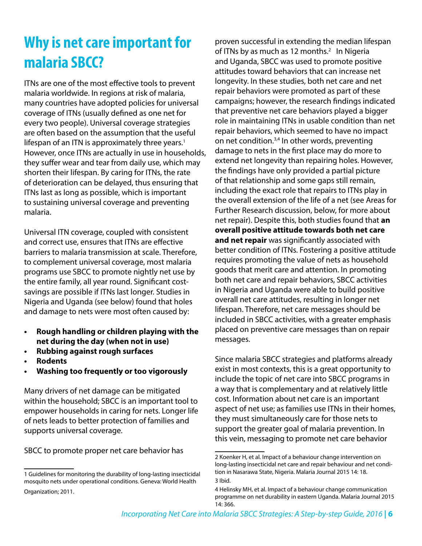# <span id="page-5-0"></span>**Why is net care important for malaria SBCC?**

ITNs are one of the most effective tools to prevent malaria worldwide. In regions at risk of malaria, many countries have adopted policies for universal coverage of ITNs (usually defined as one net for every two people). Universal coverage strategies are often based on the assumption that the useful lifespan of an ITN is approximately three years.<sup>1</sup> However, once ITNs are actually in use in households, they suffer wear and tear from daily use, which may shorten their lifespan. By caring for ITNs, the rate of deterioration can be delayed, thus ensuring that ITNs last as long as possible, which is important to sustaining universal coverage and preventing malaria.

Universal ITN coverage, coupled with consistent and correct use, ensures that ITNs are effective barriers to malaria transmission at scale. Therefore, to complement universal coverage, most malaria programs use SBCC to promote nightly net use by the entire family, all year round. Significant costsavings are possible if ITNs last longer. Studies in Nigeria and Uganda (see below) found that holes and damage to nets were most often caused by:

- **• Rough handling or children playing with the net during the day (when not in use)**
- **• Rubbing against rough surfaces**
- **• Rodents**
- **• Washing too frequently or too vigorously**

Many drivers of net damage can be mitigated within the household; SBCC is an important tool to empower households in caring for nets. Longer life of nets leads to better protection of families and supports universal coverage.

SBCC to promote proper net care behavior has

proven successful in extending the median lifespan of ITNs by as much as 12 months.<sup>2</sup> In Nigeria and Uganda, SBCC was used to promote positive attitudes toward behaviors that can increase net longevity. In these studies, both net care and net repair behaviors were promoted as part of these campaigns; however, the research findings indicated that preventive net care behaviors played a bigger role in maintaining ITNs in usable condition than net repair behaviors, which seemed to have no impact on net condition.3,4 In other words, preventing damage to nets in the first place may do more to extend net longevity than repairing holes. However, the findings have only provided a partial picture of that relationship and some gaps still remain, including the exact role that repairs to ITNs play in the overall extension of the life of a net (see Areas for Further Research discussion, below, for more about net repair). Despite this, both studies found that **an overall positive attitude towards both net care and net repair** was significantly associated with better condition of ITNs. Fostering a positive attitude requires promoting the value of nets as household goods that merit care and attention. In promoting both net care and repair behaviors, SBCC activities in Nigeria and Uganda were able to build positive overall net care attitudes, resulting in longer net lifespan. Therefore, net care messages should be included in SBCC activities, with a greater emphasis placed on preventive care messages than on repair messages.

Since malaria SBCC strategies and platforms already exist in most contexts, this is a great opportunity to include the topic of net care into SBCC programs in a way that is complementary and at relatively little cost. Information about net care is an important aspect of net use; as families use ITNs in their homes, they must simultaneously care for those nets to support the greater goal of malaria prevention. In this vein, messaging to promote net care behavior

<sup>1</sup> Guidelines for monitoring the durability of long-lasting insecticidal mosquito nets under operational conditions. Geneva: World Health Organization; 2011.

<sup>2</sup> Koenker H, et al. Impact of a behaviour change intervention on long-lasting insecticidal net care and repair behaviour and net condition in Nasarawa State, Nigeria. Malaria Journal 2015 14: 18. 3 Ibid.

<sup>4</sup> Helinsky MH, et al. Impact of a behaviour change communication programme on net durability in eastern Uganda. Malaria Journal 2015 14: 366.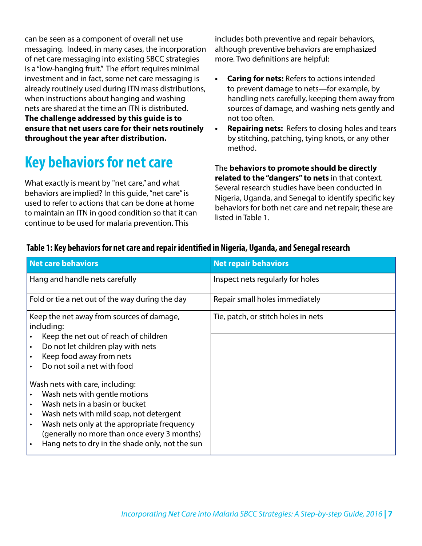<span id="page-6-0"></span>can be seen as a component of overall net use messaging. Indeed, in many cases, the incorporation of net care messaging into existing SBCC strategies is a "low-hanging fruit." The effort requires minimal investment and in fact, some net care messaging is already routinely used during ITN mass distributions, when instructions about hanging and washing nets are shared at the time an ITN is distributed. **The challenge addressed by this guide is to ensure that net users care for their nets routinely throughout the year after distribution.**

# **Key behaviors for net care**

What exactly is meant by "net care," and what behaviors are implied? In this guide, "net care" is used to refer to actions that can be done at home to maintain an ITN in good condition so that it can continue to be used for malaria prevention. This

includes both preventive and repair behaviors, although preventive behaviors are emphasized more. Two definitions are helpful:

- **• Caring for nets:** Refers to actions intended to prevent damage to nets—for example, by handling nets carefully, keeping them away from sources of damage, and washing nets gently and not too often.
- **• Repairing nets:** Refers to closing holes and tears by stitching, patching, tying knots, or any other method.

The **behaviors to promote should be directly related to the "dangers" to nets** in that context. Several research studies have been conducted in Nigeria, Uganda, and Senegal to identify specific key behaviors for both net care and net repair; these are listed in Table 1.

| <b>Net care behaviors</b>                                                                        | <b>Net repair behaviors</b>         |
|--------------------------------------------------------------------------------------------------|-------------------------------------|
| Hang and handle nets carefully                                                                   | Inspect nets regularly for holes    |
| Fold or tie a net out of the way during the day                                                  | Repair small holes immediately      |
| Keep the net away from sources of damage,<br>including:<br>Keep the net out of reach of children | Tie, patch, or stitch holes in nets |
| Do not let children play with nets                                                               |                                     |
| Keep food away from nets<br>Do not soil a net with food                                          |                                     |
| Wash nets with care, including:                                                                  |                                     |
| Wash nets with gentle motions<br>Wash nets in a basin or bucket                                  |                                     |
| Wash nets with mild soap, not detergent                                                          |                                     |
| Wash nets only at the appropriate frequency<br>(generally no more than once every 3 months)      |                                     |
| Hang nets to dry in the shade only, not the sun                                                  |                                     |

#### **Table 1: Key behaviors for net care and repair identified in Nigeria, Uganda, and Senegal research**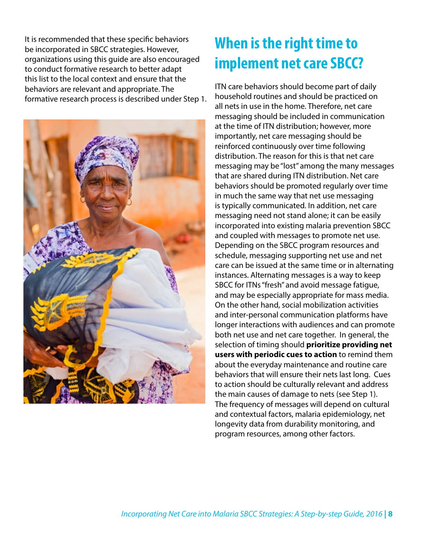<span id="page-7-0"></span>It is recommended that these specific behaviors be incorporated in SBCC strategies. However, organizations using this guide are also encouraged to conduct formative research to better adapt this list to the local context and ensure that the behaviors are relevant and appropriate. The formative research process is described under Step 1.



# **When is the right time to implement net care SBCC?**

ITN care behaviors should become part of daily household routines and should be practiced on all nets in use in the home. Therefore, net care messaging should be included in communication at the time of ITN distribution; however, more importantly, net care messaging should be reinforced continuously over time following distribution. The reason for this is that net care messaging may be "lost" among the many messages that are shared during ITN distribution. Net care behaviors should be promoted regularly over time in much the same way that net use messaging is typically communicated. In addition, net care messaging need not stand alone; it can be easily incorporated into existing malaria prevention SBCC and coupled with messages to promote net use. Depending on the SBCC program resources and schedule, messaging supporting net use and net care can be issued at the same time or in alternating instances. Alternating messages is a way to keep SBCC for ITNs "fresh" and avoid message fatigue, and may be especially appropriate for mass media. On the other hand, social mobilization activities and inter-personal communication platforms have longer interactions with audiences and can promote both net use and net care together. In general, the selection of timing should **prioritize providing net users with periodic cues to action** to remind them about the everyday maintenance and routine care behaviors that will ensure their nets last long. Cues to action should be culturally relevant and address the main causes of damage to nets (see Step 1). The frequency of messages will depend on cultural and contextual factors, malaria epidemiology, net longevity data from durability monitoring, and program resources, among other factors.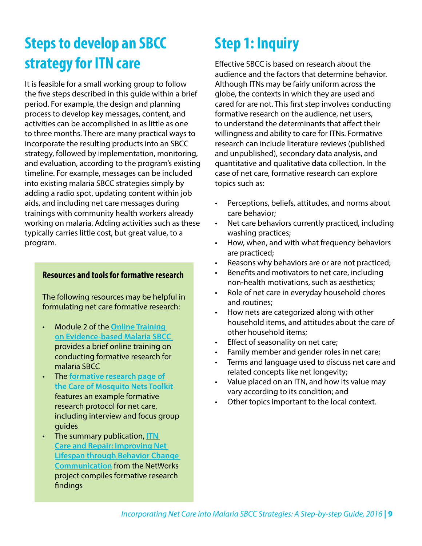# <span id="page-8-0"></span>**Steps to develop an SBCC strategy for ITN care**

It is feasible for a small working group to follow the five steps described in this guide within a brief period. For example, the design and planning process to develop key messages, content, and activities can be accomplished in as little as one to three months. There are many practical ways to incorporate the resulting products into an SBCC strategy, followed by implementation, monitoring, and evaluation, according to the program's existing timeline. For example, messages can be included into existing malaria SBCC strategies simply by adding a radio spot, updating content within job aids, and including net care messages during trainings with community health workers already working on malaria. Adding activities such as these typically carries little cost, but great value, to a program.

#### **Resources and tools for formative research**

The following resources may be helpful in formulating net care formative research:

- Module 2 of the **[Online Training](http://www.vector-works.org/resources/online-training-on-evidence-based-malaria-social-and-behavior-change-communication-sbcc/)  [on Evidence-based Malaria SBCC](http://www.vector-works.org/resources/online-training-on-evidence-based-malaria-social-and-behavior-change-communication-sbcc/)**  provides a brief online training on conducting formative research for malaria SBCC
- The **[formative research page of](https://www.k4health.org/toolkits/care-repair-LLIN/formative-research)  [the Care of Mosquito Nets Toolkit](https://www.k4health.org/toolkits/care-repair-LLIN/formative-research)** features an example formative research protocol for net care, including interview and focus group guides
- The summary publication, **[ITN](http://www.vector-works.org/wp-content/uploads/NetWorks-Summary-Net-Care-and-Repair-2015-Jan.pdf)  [Care and Repair: Improving Net](http://www.vector-works.org/wp-content/uploads/NetWorks-Summary-Net-Care-and-Repair-2015-Jan.pdf)  [Lifespan through Behavior Change](http://www.vector-works.org/wp-content/uploads/NetWorks-Summary-Net-Care-and-Repair-2015-Jan.pdf)  [Communication](http://www.vector-works.org/wp-content/uploads/NetWorks-Summary-Net-Care-and-Repair-2015-Jan.pdf)** from the NetWorks project compiles formative research findings

# **Step 1: Inquiry**

Effective SBCC is based on research about the audience and the factors that determine behavior. Although ITNs may be fairly uniform across the globe, the contexts in which they are used and cared for are not. This first step involves conducting formative research on the audience, net users, to understand the determinants that affect their willingness and ability to care for ITNs. Formative research can include literature reviews (published and unpublished), secondary data analysis, and quantitative and qualitative data collection. In the case of net care, formative research can explore topics such as:

- Perceptions, beliefs, attitudes, and norms about care behavior;
- Net care behaviors currently practiced, including washing practices;
- How, when, and with what frequency behaviors are practiced;
- Reasons why behaviors are or are not practiced;
- Benefits and motivators to net care, including non-health motivations, such as aesthetics;
- Role of net care in everyday household chores and routines;
- How nets are categorized along with other household items, and attitudes about the care of other household items;
- Effect of seasonality on net care;
- Family member and gender roles in net care;
- Terms and language used to discuss net care and related concepts like net longevity;
- Value placed on an ITN, and how its value may vary according to its condition; and
- Other topics important to the local context.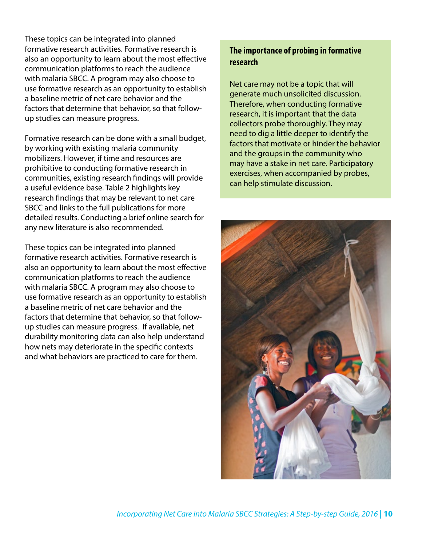These topics can be integrated into planned formative research activities. Formative research is also an opportunity to learn about the most effective communication platforms to reach the audience with malaria SBCC. A program may also choose to use formative research as an opportunity to establish a baseline metric of net care behavior and the factors that determine that behavior, so that followup studies can measure progress.

Formative research can be done with a small budget, by working with existing malaria community mobilizers. However, if time and resources are prohibitive to conducting formative research in communities, existing research findings will provide a useful evidence base. Table 2 highlights key research findings that may be relevant to net care SBCC and links to the full publications for more detailed results. Conducting a brief online search for any new literature is also recommended.

These topics can be integrated into planned formative research activities. Formative research is also an opportunity to learn about the most effective communication platforms to reach the audience with malaria SBCC. A program may also choose to use formative research as an opportunity to establish a baseline metric of net care behavior and the factors that determine that behavior, so that followup studies can measure progress. If available, net durability monitoring data can also help understand how nets may deteriorate in the specific contexts and what behaviors are practiced to care for them.

### **The importance of probing in formative research**

Net care may not be a topic that will generate much unsolicited discussion. Therefore, when conducting formative research, it is important that the data collectors probe thoroughly. They may need to dig a little deeper to identify the factors that motivate or hinder the behavior and the groups in the community who may have a stake in net care. Participatory exercises, when accompanied by probes, can help stimulate discussion.

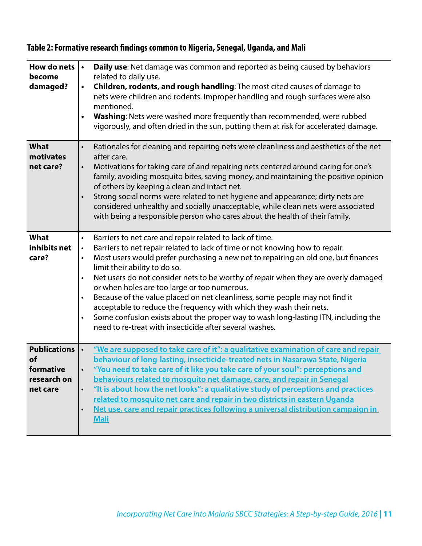| How do nets<br>become<br>damaged?                                        | Daily use: Net damage was common and reported as being caused by behaviors<br>$\bullet$<br>related to daily use.<br>Children, rodents, and rough handling: The most cited causes of damage to<br>$\bullet$<br>nets were children and rodents. Improper handling and rough surfaces were also<br>mentioned.<br>Washing: Nets were washed more frequently than recommended, were rubbed<br>$\bullet$<br>vigorously, and often dried in the sun, putting them at risk for accelerated damage.                                                                                                                                                                                                                                                                                                 |
|--------------------------------------------------------------------------|--------------------------------------------------------------------------------------------------------------------------------------------------------------------------------------------------------------------------------------------------------------------------------------------------------------------------------------------------------------------------------------------------------------------------------------------------------------------------------------------------------------------------------------------------------------------------------------------------------------------------------------------------------------------------------------------------------------------------------------------------------------------------------------------|
| <b>What</b><br>motivates<br>net care?                                    | Rationales for cleaning and repairing nets were cleanliness and aesthetics of the net<br>$\bullet$<br>after care.<br>Motivations for taking care of and repairing nets centered around caring for one's<br>$\bullet$<br>family, avoiding mosquito bites, saving money, and maintaining the positive opinion<br>of others by keeping a clean and intact net.<br>Strong social norms were related to net hygiene and appearance; dirty nets are<br>$\bullet$<br>considered unhealthy and socially unacceptable, while clean nets were associated<br>with being a responsible person who cares about the health of their family.                                                                                                                                                              |
| What<br>inhibits net<br>care?                                            | Barriers to net care and repair related to lack of time.<br>$\bullet$<br>Barriers to net repair related to lack of time or not knowing how to repair.<br>$\bullet$<br>Most users would prefer purchasing a new net to repairing an old one, but finances<br>$\bullet$<br>limit their ability to do so.<br>Net users do not consider nets to be worthy of repair when they are overly damaged<br>$\bullet$<br>or when holes are too large or too numerous.<br>Because of the value placed on net cleanliness, some people may not find it<br>$\bullet$<br>acceptable to reduce the frequency with which they wash their nets.<br>Some confusion exists about the proper way to wash long-lasting ITN, including the<br>$\bullet$<br>need to re-treat with insecticide after several washes. |
| <b>Publications</b><br><b>of</b><br>formative<br>research on<br>net care | "We are supposed to take care of it": a qualitative examination of care and repair<br>behaviour of long-lasting, insecticide-treated nets in Nasarawa State, Nigeria<br>"You need to take care of it like you take care of your soul": perceptions and<br>behaviours related to mosquito net damage, care, and repair in Senegal<br>"It is about how the net looks": a qualitative study of perceptions and practices<br>$\bullet$<br>related to mosquito net care and repair in two districts in eastern Uganda<br>Net use, care and repair practices following a universal distribution campaign in<br>$\bullet$<br><b>Mali</b>                                                                                                                                                          |

### **Table 2: Formative research findings common to Nigeria, Senegal, Uganda, and Mali**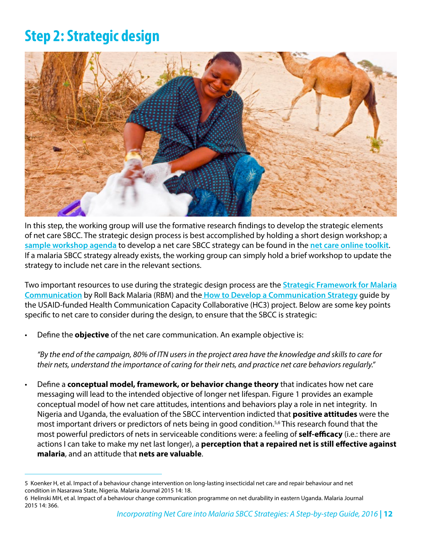## <span id="page-11-0"></span>**Step 2: Strategic design**



In this step, the working group will use the formative research findings to develop the strategic elements of net care SBCC. The strategic design process is best accomplished by holding a short design workshop; a **[sample workshop agenda](https://www.k4health.org/toolkits/care-repair-LLIN/sample-materials-development-workshop-agenda)** to develop a net care SBCC strategy can be found in the **[net care online toolkit](https://www.k4health.org/toolkits/care-repair-LLIN)**. If a malaria SBCC strategy already exists, the working group can simply hold a brief workshop to update the strategy to include net care in the relevant sections.

Two important resources to use during the strategic design process are the **[Strategic Framework for Malaria](http://www.rollbackmalaria.org/files/files/globaladvocacy/docs/BCCstrategicFramework.pdf) [Communication](http://www.rollbackmalaria.org/files/files/globaladvocacy/docs/BCCstrategicFramework.pdf)** by Roll Back Malaria (RBM) and the **[How to Develop a Communication Strategy](http://www.thehealthcompass.org/how-to-guides/how-develop-communication-strategy)** guide by the USAID-funded Health Communication Capacity Collaborative (HC3) project. Below are some key points specific to net care to consider during the design, to ensure that the SBCC is strategic:

• Define the **objective** of the net care communication. An example objective is:

*"By the end of the campaign, 80% of ITN users in the project area have the knowledge and skills to care for their nets, understand the importance of caring for their nets, and practice net care behaviors regularly."*

• Define a **conceptual model, framework, or behavior change theory** that indicates how net care messaging will lead to the intended objective of longer net lifespan. Figure 1 provides an example conceptual model of how net care attitudes, intentions and behaviors play a role in net integrity. In Nigeria and Uganda, the evaluation of the SBCC intervention indicted that **positive attitudes** were the most important drivers or predictors of nets being in good condition.<sup>5,6</sup> This research found that the most powerful predictors of nets in serviceable conditions were: a feeling of **self-efficacy** (i.e.: there are actions I can take to make my net last longer), a **perception that a repaired net is still effective against malaria**, and an attitude that **nets are valuable**.

<sup>5</sup> Koenker H, et al. Impact of a behaviour change intervention on long-lasting insecticidal net care and repair behaviour and net condition in Nasarawa State, Nigeria. Malaria Journal 2015 14: 18.

<sup>6</sup> Helinski MH, et al. Impact of a behaviour change communication programme on net durability in eastern Uganda. Malaria Journal 2015 14: 366.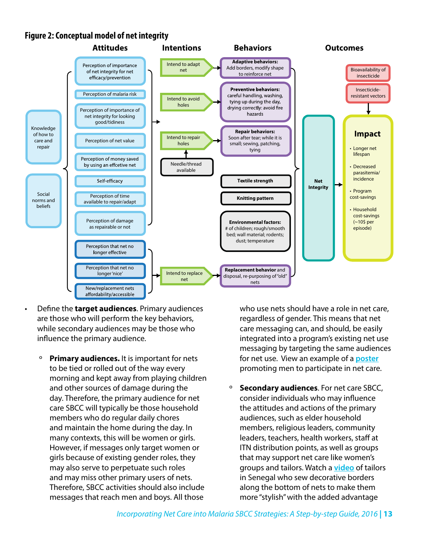### **Figure 2: Conceptual model of net integrity**



- Define the **target audiences**. Primary audiences are those who will perform the key behaviors, while secondary audiences may be those who influence the primary audience.
	- º **Primary audiences.** It is important for nets to be tied or rolled out of the way every morning and kept away from playing children and other sources of damage during the day. Therefore, the primary audience for net care SBCC will typically be those household members who do regular daily chores and maintain the home during the day. In many contexts, this will be women or girls. However, if messages only target women or girls because of existing gender roles, they may also serve to perpetuate such roles and may miss other primary users of nets. Therefore, SBCC activities should also include messages that reach men and boys. All those

who use nets should have a role in net care. regardless of gender. This means that net care messaging can, and should, be easily integrated into a program's existing net use messaging by targeting the same audiences for net use. View an example of a **[poster](https://www.k4health.org/toolkits/care-repair-LLIN/nigeria-responsible-man-repairs-torn-nets-poster)** promoting men to participate in net care.

º **Secondary audiences**. For net care SBCC, consider individuals who may influence the attitudes and actions of the primary audiences, such as elder household members, religious leaders, community leaders, teachers, health workers, staff at ITN distribution points, as well as groups that may support net care like women's groups and tailors. Watch a **[video](https://www.youtube.com/watch?v=LOGXfQTZ028&feature=youtu.be&list=PLflIHdtzuE_Egvolyt0vWro9vGdSHUTfp)** of tailors in Senegal who sew decorative borders along the bottom of nets to make them more "stylish" with the added advantage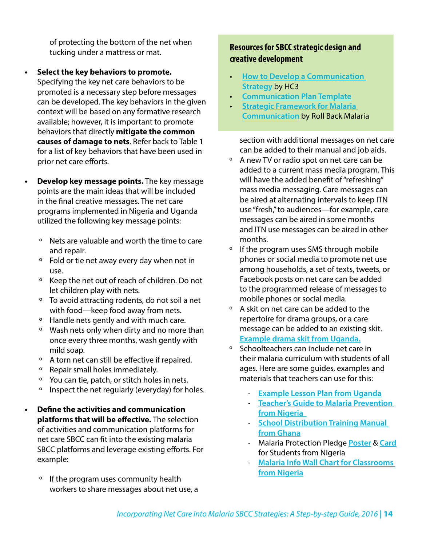of protecting the bottom of the net when tucking under a mattress or mat.

- **• Select the key behaviors to promote.** Specifying the key net care behaviors to be promoted is a necessary step before messages can be developed. The key behaviors in the given context will be based on any formative research available; however, it is important to promote behaviors that directly **mitigate the common causes of damage to nets**. Refer back to Table 1 for a list of key behaviors that have been used in prior net care efforts.
- **• Develop key message points.** The key message points are the main ideas that will be included in the final creative messages. The net care programs implemented in Nigeria and Uganda utilized the following key message points:
	- º Nets are valuable and worth the time to care and repair.
	- º Fold or tie net away every day when not in use.
	- º Keep the net out of reach of children. Do not let children play with nets.
	- º To avoid attracting rodents, do not soil a net with food—keep food away from nets.
	- º Handle nets gently and with much care.
	- º Wash nets only when dirty and no more than once every three months, wash gently with mild soap.
	- º A torn net can still be effective if repaired.
	- º Repair small holes immediately.
	- º You can tie, patch, or stitch holes in nets.
	- º Inspect the net regularly (everyday) for holes.

**• Define the activities and communication platforms that will be effective.** The selection of activities and communication platforms for net care SBCC can fit into the existing malaria SBCC platforms and leverage existing efforts. For example:

º If the program uses community health workers to share messages about net use, a

### **Resources for SBCC strategic design and creative development**

- **[How to Develop a Communication](http://www.thehealthcompass.org/how-to-guides/how-develop-communication-strategy)  [Strategy](http://www.thehealthcompass.org/how-to-guides/how-develop-communication-strategy)** by HC3
- **[Communication Plan Template](http://www.thehealthcompass.org/sbcc-tools/communication-plan-template)**
- **[Strategic Framework for Malaria](http://www.rollbackmalaria.org/files/files/globaladvocacy/docs/BCCstrategicFramework.pdf)  [Communication](http://www.rollbackmalaria.org/files/files/globaladvocacy/docs/BCCstrategicFramework.pdf)** by Roll Back Malaria

section with additional messages on net care can be added to their manual and job aids.

- º A new TV or radio spot on net care can be added to a current mass media program. This will have the added benefit of "refreshing" mass media messaging. Care messages can be aired at alternating intervals to keep ITN use "fresh," to audiences—for example, care messages can be aired in some months and ITN use messages can be aired in other months.
- º If the program uses SMS through mobile phones or social media to promote net use among households, a set of texts, tweets, or Facebook posts on net care can be added to the programmed release of messages to mobile phones or social media.
- º A skit on net care can be added to the repertoire for drama groups, or a care message can be added to an existing skit. **[Example drama skit from Uganda.](https://www.k4health.org/toolkits/care-repair-LLIN/uganda-forum-theater-drama-script)**
- º Schoolteachers can include net care in their malaria curriculum with students of all ages. Here are some guides, examples and materials that teachers can use for this:
	- **[Example Lesson Plan from Uganda](https://www.k4health.org/toolkits/care-repair-LLIN/uganda-school-lesson-plan-communal-sewing-and-net-care)**
	- **[Teacher's Guide to Malaria Prevention](https://www.k4health.org/toolkits/continuous-distribution-malaria/teachers-guide-malaria-prevention)  [from Nigeria](https://www.k4health.org/toolkits/continuous-distribution-malaria/teachers-guide-malaria-prevention)**
	- **[School Distribution Training Manual](https://www.k4health.org/toolkits/continuous-distribution-malaria/ghana-school-distribution-training-manual)  [from Ghana](https://www.k4health.org/toolkits/continuous-distribution-malaria/ghana-school-distribution-training-manual)**
	- Malaria Protection Pledge **[Poster](https://www.k4health.org/toolkits/continuous-distribution-malaria/malaria-protection-pledge-poster-classrooms-nigeria)** & **[Card](https://www.k4health.org/toolkits/continuous-distribution-malaria/marlaria-protection-pledge-card-students-nigeria)** for Students from Nigeria
	- **[Malaria Info Wall Chart for Classrooms](https://www.k4health.org/toolkits/continuous-distribution-malaria/malaria-info-wall-chart-classrooms)  [from Nigeria](https://www.k4health.org/toolkits/continuous-distribution-malaria/malaria-info-wall-chart-classrooms)**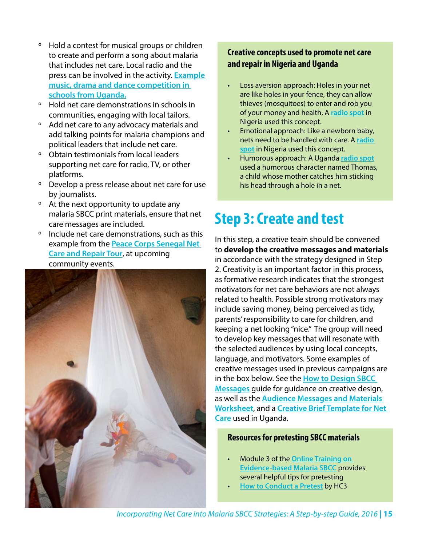- <span id="page-14-0"></span>º Hold a contest for musical groups or children to create and perform a song about malaria that includes net care. Local radio and the press can be involved in the activity. **[Example](https://www.k4health.org/toolkits/care-repair-LLIN/uganda-school-music-dance-and-drama-competition-adjudication-sheets)  [music, drama and dance competition in](https://www.k4health.org/toolkits/care-repair-LLIN/uganda-school-music-dance-and-drama-competition-adjudication-sheets)  [schools from Uganda.](https://www.k4health.org/toolkits/care-repair-LLIN/uganda-school-music-dance-and-drama-competition-adjudication-sheets)**
- º Hold net care demonstrations in schools in communities, engaging with local tailors.
- º Add net care to any advocacy materials and add talking points for malaria champions and political leaders that include net care.
- º Obtain testimonials from local leaders supporting net care for radio, TV, or other platforms.
- º Develop a press release about net care for use by journalists.
- º At the next opportunity to update any malaria SBCC print materials, ensure that net care messages are included.
- Include net care demonstrations, such as this example from the **[Peace Corps Senegal Net](https://www.k4health.org/toolkits/care-repair-LLIN/case-study-regional-bed-net-care-and-repair-tour-senegal)  [Care and Repair Tour](https://www.k4health.org/toolkits/care-repair-LLIN/case-study-regional-bed-net-care-and-repair-tour-senegal)**, at upcoming community events.



### **Creative concepts used to promote net care and repair in Nigeria and Uganda**

- Loss aversion approach: Holes in your net are like holes in your fence, they can allow thieves (mosquitoes) to enter and rob you of your money and health. A **[radio spot](https://www.k4health.org/toolkits/care-repair-LLIN/nigeria-radio-spot-holes-are-armed-robbers-hausa)** in Nigeria used this concept.
- Emotional approach: Like a newborn baby, nets need to be handled with care. A **[radio](https://www.k4health.org/toolkits/care-repair-LLIN/nigeria-radio-spot-nets-are-newborn-babies-hausa)  [spot](https://www.k4health.org/toolkits/care-repair-LLIN/nigeria-radio-spot-nets-are-newborn-babies-hausa)** in Nigeria used this concept.
- Humorous approach: A Uganda **[radio spot](https://www.k4health.org/toolkits/care-repair-LLIN/uganda-radio-spots)** used a humorous character named Thomas, a child whose mother catches him sticking his head through a hole in a net.

# **Step 3: Create and test**

In this step, a creative team should be convened to **develop the creative messages and materials**  in accordance with the strategy designed in Step 2. Creativity is an important factor in this process, as formative research indicates that the strongest motivators for net care behaviors are not always related to health. Possible strong motivators may include saving money, being perceived as tidy, parents' responsibility to care for children, and keeping a net looking "nice." The group will need to develop key messages that will resonate with the selected audiences by using local concepts, language, and motivators. Some examples of creative messages used in previous campaigns are in the box below. See the **[How to Design SBCC](http://www.thehealthcompass.org/how-to-guides/how-design-sbcc-messages)  [Messages](http://www.thehealthcompass.org/how-to-guides/how-design-sbcc-messages)** guide for guidance on creative design, as well as the **[Audience Messages and Materials](http://www.thehealthcompass.org/sbcc-tools/audience-messages-and-materials-worksheet)  [Worksheet](http://www.thehealthcompass.org/sbcc-tools/audience-messages-and-materials-worksheet)**, and a **[Creative Brief Template for Net](https://www.k4health.org/toolkits/care-repair-LLIN/creative-brief-template)  [Care](https://www.k4health.org/toolkits/care-repair-LLIN/creative-brief-template)** used in Uganda.

#### **Resources for pretesting SBCC materials**

- Module 3 of the **[Online Training on](http://www.vector-works.org/resources/online-training-on-evidence-based-malaria-social-and-behavior-change-communication-sbcc/)  [Evidence-based Malaria SBCC](http://www.vector-works.org/resources/online-training-on-evidence-based-malaria-social-and-behavior-change-communication-sbcc/)** provides several helpful tips for pretesting
- **[How to Conduct a Pretest](http://www.thehealthcompass.org/how-to-guides/how-conduct-pretest)** by HC3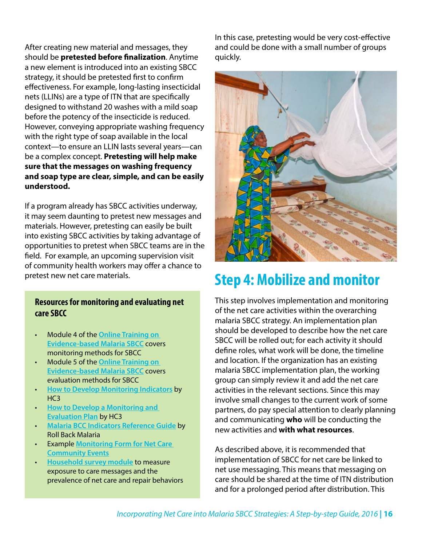<span id="page-15-0"></span>After creating new material and messages, they should be **pretested before finalization**. Anytime a new element is introduced into an existing SBCC strategy, it should be pretested first to confirm effectiveness. For example, long-lasting insecticidal nets (LLINs) are a type of ITN that are specifically designed to withstand 20 washes with a mild soap before the potency of the insecticide is reduced. However, conveying appropriate washing frequency with the right type of soap available in the local context—to ensure an LLIN lasts several years—can be a complex concept. **Pretesting will help make sure that the messages on washing frequency and soap type are clear, simple, and can be easily understood.**

If a program already has SBCC activities underway, it may seem daunting to pretest new messages and materials. However, pretesting can easily be built into existing SBCC activities by taking advantage of opportunities to pretest when SBCC teams are in the field. For example, an upcoming supervision visit of community health workers may offer a chance to pretest new net care materials.

#### **Resources for monitoring and evaluating net care SBCC**

- Module 4 of the **[Online Training on](http://www.vector-works.org/resources/online-training-on-evidence-based-malaria-social-and-behavior-change-communication-sbcc/)  [Evidence-based Malaria SBCC](http://www.vector-works.org/resources/online-training-on-evidence-based-malaria-social-and-behavior-change-communication-sbcc/)** covers monitoring methods for SBCC
- Module 5 of the **[Online Training on](http://www.vector-works.org/resources/online-training-on-evidence-based-malaria-social-and-behavior-change-communication-sbcc/)  [Evidence-based Malaria SBCC](http://www.vector-works.org/resources/online-training-on-evidence-based-malaria-social-and-behavior-change-communication-sbcc/)** covers evaluation methods for SBCC
- **[How to Develop Monitoring Indicators](http://www.thehealthcompass.org/how-to-guides/how-develop-monitoring-indicators)** by H<sub>C</sub>3
- **[How to Develop a Monitoring and](http://www.thehealthcompass.org/how-to-guides/how-develop-monitoring-and-evaluation-plan)  [Evaluation Plan](http://www.thehealthcompass.org/how-to-guides/how-develop-monitoring-and-evaluation-plan)** by HC3
- **[Malaria BCC Indicators Reference Guide](http://www.vector-works.org/wp-content/uploads/Malaria-BCC-Indicators-Reference-Guide.pdf)** by Roll Back Malaria
- Example **[Monitoring Form for Net Care](https://www.k4health.org/toolkits/care-repair-LLIN/nasarawa-state-netcare-community-health-volunteer-event-reporting-form)  [Community Events](https://www.k4health.org/toolkits/care-repair-LLIN/nasarawa-state-netcare-community-health-volunteer-event-reporting-form)**
- **[Household survey module](https://www.k4health.org/toolkits/care-repair-LLIN/net-care-and-repair-household-survey-module)** to measure exposure to care messages and the prevalence of net care and repair behaviors

In this case, pretesting would be very cost-effective and could be done with a small number of groups quickly.



## **Step 4: Mobilize and monitor**

This step involves implementation and monitoring of the net care activities within the overarching malaria SBCC strategy. An implementation plan should be developed to describe how the net care SBCC will be rolled out; for each activity it should define roles, what work will be done, the timeline and location. If the organization has an existing malaria SBCC implementation plan, the working group can simply review it and add the net care activities in the relevant sections. Since this may involve small changes to the current work of some partners, do pay special attention to clearly planning and communicating **who** will be conducting the new activities and **with what resources**.

As described above, it is recommended that implementation of SBCC for net care be linked to net use messaging. This means that messaging on care should be shared at the time of ITN distribution and for a prolonged period after distribution. This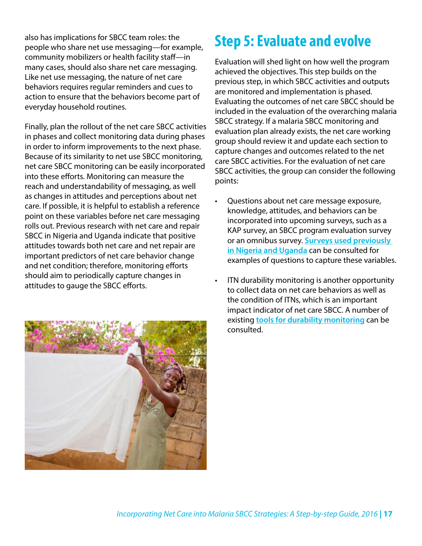<span id="page-16-0"></span>also has implications for SBCC team roles: the people who share net use messaging—for example, community mobilizers or health facility staff—in many cases, should also share net care messaging. Like net use messaging, the nature of net care behaviors requires regular reminders and cues to action to ensure that the behaviors become part of everyday household routines.

Finally, plan the rollout of the net care SBCC activities in phases and collect monitoring data during phases in order to inform improvements to the next phase. Because of its similarity to net use SBCC monitoring, net care SBCC monitoring can be easily incorporated into these efforts. Monitoring can measure the reach and understandability of messaging, as well as changes in attitudes and perceptions about net care. If possible, it is helpful to establish a reference point on these variables before net care messaging rolls out. Previous research with net care and repair SBCC in Nigeria and Uganda indicate that positive attitudes towards both net care and net repair are important predictors of net care behavior change and net condition; therefore, monitoring efforts should aim to periodically capture changes in attitudes to gauge the SBCC efforts.



## **Step 5: Evaluate and evolve**

Evaluation will shed light on how well the program achieved the objectives. This step builds on the previous step, in which SBCC activities and outputs are monitored and implementation is phased. Evaluating the outcomes of net care SBCC should be included in the evaluation of the overarching malaria SBCC strategy. If a malaria SBCC monitoring and evaluation plan already exists, the net care working group should review it and update each section to capture changes and outcomes related to the net care SBCC activities. For the evaluation of net care SBCC activities, the group can consider the following points:

- Questions about net care message exposure, knowledge, attitudes, and behaviors can be incorporated into upcoming surveys, such as a KAP survey, an SBCC program evaluation survey or an omnibus survey. **[Surveys used previously](https://www.k4health.org/toolkits/care-repair-LLIN/evaluation-resources-and-reports)  [in Nigeria and Uganda](https://www.k4health.org/toolkits/care-repair-LLIN/evaluation-resources-and-reports)** can be consulted for examples of questions to capture these variables.
- ITN durability monitoring is another opportunity to collect data on net care behaviors as well as the condition of ITNs, which is an important impact indicator of net care SBCC. A number of existing **[tools for durability monitoring](http://www.durabilitymonitoring.org/)** can be consulted.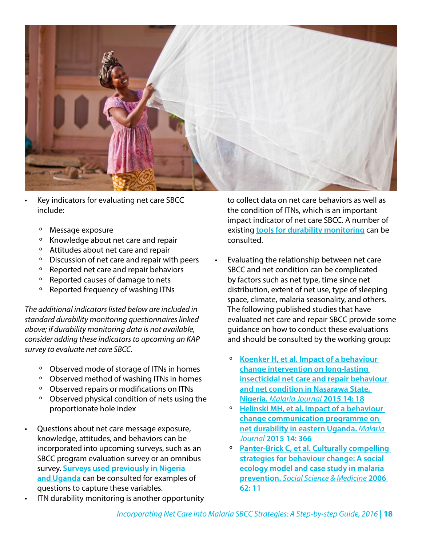

- Key indicators for evaluating net care SBCC include:
	- º Message exposure
	- º Knowledge about net care and repair
	- º Attitudes about net care and repair
	- º Discussion of net care and repair with peers
	- º Reported net care and repair behaviors
	- º Reported causes of damage to nets
	- º Reported frequency of washing ITNs

*The additional indicators listed below are included in standard durability monitoring questionnaires linked above; if durability monitoring data is not available, consider adding these indicators to upcoming an KAP survey to evaluate net care SBCC.*

- º Observed mode of storage of ITNs in homes
- º Observed method of washing ITNs in homes
- º Observed repairs or modifications on ITNs
- º Observed physical condition of nets using the proportionate hole index
- Questions about net care message exposure, knowledge, attitudes, and behaviors can be incorporated into upcoming surveys, such as an SBCC program evaluation survey or an omnibus survey. **[Surveys used previously in Nigeria](https://www.k4health.org/toolkits/care-repair-LLIN/evaluation-resources-and-reports)  [and Uganda](https://www.k4health.org/toolkits/care-repair-LLIN/evaluation-resources-and-reports)** can be consulted for examples of questions to capture these variables.
- ITN durability monitoring is another opportunity

to collect data on net care behaviors as well as the condition of ITNs, which is an important impact indicator of net care SBCC. A number of existing **[tools for durability monitoring](http://www.durabilitymonitoring.org/)** can be consulted.

- Evaluating the relationship between net care SBCC and net condition can be complicated by factors such as net type, time since net distribution, extent of net use, type of sleeping space, climate, malaria seasonality, and others. The following published studies that have evaluated net care and repair SBCC provide some guidance on how to conduct these evaluations and should be consulted by the working group:
	- º **[Koenker H, et al. Impact of a behaviour](https://malariajournal.biomedcentral.com/articles/10.1186/s12936-014-0538-6)  [change intervention on long-lasting](https://malariajournal.biomedcentral.com/articles/10.1186/s12936-014-0538-6)  [insecticidal net care and repair behaviour](https://malariajournal.biomedcentral.com/articles/10.1186/s12936-014-0538-6)  [and net condition in Nasarawa State,](https://malariajournal.biomedcentral.com/articles/10.1186/s12936-014-0538-6)  Nigeria.** *[Malaria Journal](https://malariajournal.biomedcentral.com/articles/10.1186/s12936-014-0538-6)* **2015 14: 18**
	- º **[Helinski MH, et al. Impact of a behaviour](https://malariajournal.biomedcentral.com/articles/10.1186/s12936-015-0899-5)  [change communication programme on](https://malariajournal.biomedcentral.com/articles/10.1186/s12936-015-0899-5)  [net durability in eastern Uganda.](https://malariajournal.biomedcentral.com/articles/10.1186/s12936-015-0899-5)** *Malaria Journal* **[2015 14: 366](https://malariajournal.biomedcentral.com/articles/10.1186/s12936-015-0899-5)**
	- º **[Panter-Brick C, et al. Culturally compelling](http://www.sciencedirect.com/science/article/pii/S0277953605005356)  [strategies for behaviour change: A social](http://www.sciencedirect.com/science/article/pii/S0277953605005356)  [ecology model and case study in malaria](http://www.sciencedirect.com/science/article/pii/S0277953605005356)  prevention.** *[Social Science & Medicine](http://www.sciencedirect.com/science/article/pii/S0277953605005356)* **2006 [62: 11](http://www.sciencedirect.com/science/article/pii/S0277953605005356)**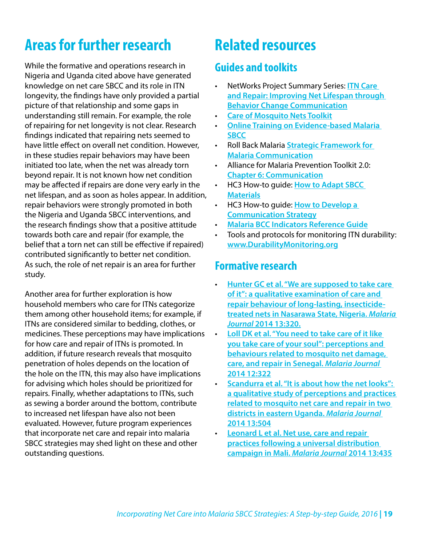# <span id="page-18-0"></span>**Areas for further research**

While the formative and operations research in Nigeria and Uganda cited above have generated knowledge on net care SBCC and its role in ITN longevity, the findings have only provided a partial picture of that relationship and some gaps in understanding still remain. For example, the role of repairing for net longevity is not clear. Research findings indicated that repairing nets seemed to have little effect on overall net condition. However, in these studies repair behaviors may have been initiated too late, when the net was already torn beyond repair. It is not known how net condition may be affected if repairs are done very early in the net lifespan, and as soon as holes appear. In addition, repair behaviors were strongly promoted in both the Nigeria and Uganda SBCC interventions, and the research findings show that a positive attitude towards both care and repair (for example, the belief that a torn net can still be effective if repaired) contributed significantly to better net condition. As such, the role of net repair is an area for further study.

Another area for further exploration is how household members who care for ITNs categorize them among other household items; for example, if ITNs are considered similar to bedding, clothes, or medicines. These perceptions may have implications for how care and repair of ITNs is promoted. In addition, if future research reveals that mosquito penetration of holes depends on the location of the hole on the ITN, this may also have implications for advising which holes should be prioritized for repairs. Finally, whether adaptations to ITNs, such as sewing a border around the bottom, contribute to increased net lifespan have also not been evaluated. However, future program experiences that incorporate net care and repair into malaria SBCC strategies may shed light on these and other outstanding questions.

# **Related resources**

### **Guides and toolkits**

- NetWorks Project Summary Series: **[ITN Care](http://www.vector-works.org/wp-content/uploads/NetWorks-Summary-Net-Care-and-Repair-2015-Jan.pdf)  [and Repair: Improving Net Lifespan through](http://www.vector-works.org/wp-content/uploads/NetWorks-Summary-Net-Care-and-Repair-2015-Jan.pdf)  [Behavior Change Communication](http://www.vector-works.org/wp-content/uploads/NetWorks-Summary-Net-Care-and-Repair-2015-Jan.pdf)**
- **[Care of Mosquito Nets Toolkit](https://www.k4health.org/toolkits/care-repair-LLIN)**
- **[Online Training on Evidence-based Malaria](http://www.vector-works.org/resources/online-training-on-evidence-based-malaria-social-and-behavior-change-communication-sbcc/)  [SBCC](http://www.vector-works.org/resources/online-training-on-evidence-based-malaria-social-and-behavior-change-communication-sbcc/)**
- Roll Back Malaria **[Strategic Framework for](http://www.rollbackmalaria.org/files/files/globaladvocacy/docs/BCCstrategicFramework.pdf)  [Malaria Communication](http://www.rollbackmalaria.org/files/files/globaladvocacy/docs/BCCstrategicFramework.pdf)**
- Alliance for Malaria Prevention Toolkit 2.0: **[Chapter 6: Communication](http://allianceformalariaprevention.com/wp-content/uploads/2015/09/AMP-Toolkit-2.0-Ch6-Communication.pdf)**
- HC3 How-to guide: **[How to Adapt SBCC](http://www.thehealthcompass.org/how-to-guides/how-adapt-sbcc-materials)  [Materials](http://www.thehealthcompass.org/how-to-guides/how-adapt-sbcc-materials)**
- HC3 How-to guide: **[How to Develop a](http://www.thehealthcompass.org/how-to-guides/how-develop-communication-strategy)  [Communication Strategy](http://www.thehealthcompass.org/how-to-guides/how-develop-communication-strategy)**
- **[Malaria BCC Indicators Reference Guide](http://www.vector-works.org/wp-content/uploads/Malaria-BCC-Indicators-Reference-Guide.pdf)**
- Tools and protocols for monitoring ITN durability: **[www.DurabilityMonitoring.org](http://www.DurabilityMonitoring.org)**

### **Formative research**

- **[Hunter GC et al. "We are supposed to take care](http://malariajournal.biomedcentral.com/articles/10.1186/1475-2875-13-320)  [of it": a qualitative examination of care and](http://malariajournal.biomedcentral.com/articles/10.1186/1475-2875-13-320)  [repair behaviour of long-lasting, insecticide](http://malariajournal.biomedcentral.com/articles/10.1186/1475-2875-13-320)[treated nets in Nasarawa State, Nigeria.](http://malariajournal.biomedcentral.com/articles/10.1186/1475-2875-13-320)** *Malaria Journal* **[2014 13:320.](http://malariajournal.biomedcentral.com/articles/10.1186/1475-2875-13-320)**
- **[Loll DK et al. "You need to take care of it like](https://malariajournal.biomedcentral.com/articles/10.1186/1475-2875-13-322)  [you take care of your soul": perceptions and](https://malariajournal.biomedcentral.com/articles/10.1186/1475-2875-13-322)  [behaviours related to mosquito net damage,](https://malariajournal.biomedcentral.com/articles/10.1186/1475-2875-13-322)  [care, and repair in Senegal.](https://malariajournal.biomedcentral.com/articles/10.1186/1475-2875-13-322)** *Malaria Journal*  **[2014 12:322](https://malariajournal.biomedcentral.com/articles/10.1186/1475-2875-13-322)**
- **[Scandurra et al. "It is about how the net looks":](https://malariajournal.biomedcentral.com/articles/10.1186/1475-2875-13-504)  [a qualitative study of perceptions and practices](https://malariajournal.biomedcentral.com/articles/10.1186/1475-2875-13-504)  [related to mosquito net care and repair in two](https://malariajournal.biomedcentral.com/articles/10.1186/1475-2875-13-504)  [districts in eastern Uganda.](https://malariajournal.biomedcentral.com/articles/10.1186/1475-2875-13-504)** *Malaria Journal*  **[2014 13:504](https://malariajournal.biomedcentral.com/articles/10.1186/1475-2875-13-504)**
- **[Leonard L et al. Net use, care and repair](https://malariajournal.biomedcentral.com/articles/10.1186/1475-2875-13-435)  [practices following a universal distribution](https://malariajournal.biomedcentral.com/articles/10.1186/1475-2875-13-435)  [campaign in Mali.](https://malariajournal.biomedcentral.com/articles/10.1186/1475-2875-13-435)** *Malaria Journal* **2014 13:435**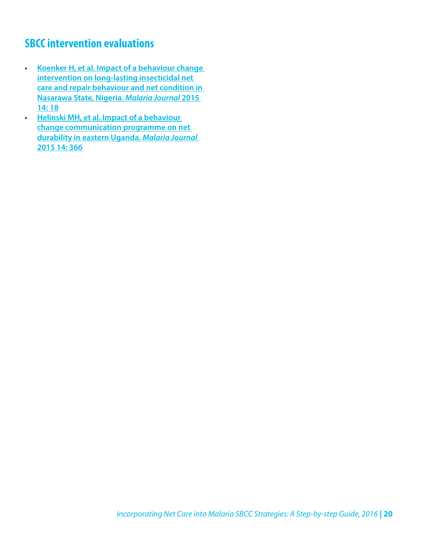### <span id="page-19-0"></span>**SBCC intervention evaluations**

• **[Koenker H, et al. Impact of a behaviour change](https://malariajournal.biomedcentral.com/articles/10.1186/s12936-014-0538-6)  [intervention on long-lasting insecticidal net](https://malariajournal.biomedcentral.com/articles/10.1186/s12936-014-0538-6)  [care and repair behaviour and net condition in](https://malariajournal.biomedcentral.com/articles/10.1186/s12936-014-0538-6)  [Nasarawa State, Nigeria.](https://malariajournal.biomedcentral.com/articles/10.1186/s12936-014-0538-6)** *Malaria Journal* **2015 [14: 18](https://malariajournal.biomedcentral.com/articles/10.1186/s12936-014-0538-6)**

• **[Helinski MH, et al. Impact of a behaviour](https://malariajournal.biomedcentral.com/articles/10.1186/s12936-015-0899-5)  [change communication programme on net](https://malariajournal.biomedcentral.com/articles/10.1186/s12936-015-0899-5)  [durability in eastern Uganda.](https://malariajournal.biomedcentral.com/articles/10.1186/s12936-015-0899-5)** *Malaria Journal* **[2015 14: 366](https://malariajournal.biomedcentral.com/articles/10.1186/s12936-015-0899-5)**